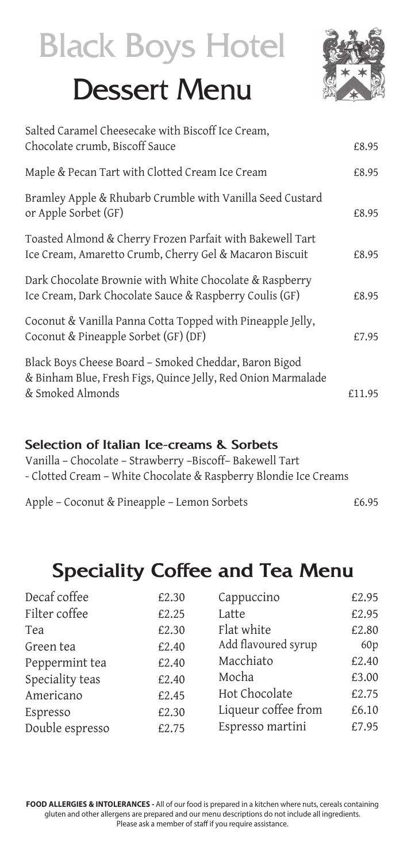# Black Boys Hotel

## Dessert Menu



| Salted Caramel Cheesecake with Biscoff Ice Cream,<br>Chocolate crumb, Biscoff Sauce                                                       | £8.95  |
|-------------------------------------------------------------------------------------------------------------------------------------------|--------|
| Maple & Pecan Tart with Clotted Cream Ice Cream                                                                                           | £8.95  |
| Bramley Apple & Rhubarb Crumble with Vanilla Seed Custard<br>or Apple Sorbet (GF)                                                         | £8.95  |
| Toasted Almond & Cherry Frozen Parfait with Bakewell Tart<br>Ice Cream, Amaretto Crumb, Cherry Gel & Macaron Biscuit                      | £8.95  |
| Dark Chocolate Brownie with White Chocolate & Raspberry<br>Ice Cream, Dark Chocolate Sauce & Raspberry Coulis (GF)                        | £8.95  |
| Coconut & Vanilla Panna Cotta Topped with Pineapple Jelly,<br>Coconut & Pineapple Sorbet (GF) (DF)                                        | £7.95  |
| Black Boys Cheese Board - Smoked Cheddar, Baron Bigod<br>& Binham Blue, Fresh Figs, Quince Jelly, Red Onion Marmalade<br>& Smoked Almonds | £11.95 |
|                                                                                                                                           |        |

#### **Selection of Italian Ice-creams & Sorbets**

Vanilla – Chocolate – Strawberry –Biscoff– Bakewell Tart - Clotted Cream – White Chocolate & Raspberry Blondie Ice Creams

| Apple - Coconut & Pineapple - Lemon Sorbets | £6.95 |
|---------------------------------------------|-------|
|---------------------------------------------|-------|

### **Speciality Coffee and Tea Menu**

| Decaf coffee    | £2.30 | Cappuccino          | £2.95 |
|-----------------|-------|---------------------|-------|
| Filter coffee   | £2.25 | Latte               | £2.95 |
| Tea             | £2.30 | Flat white          | £2.80 |
| Green tea       | £2.40 | Add flavoured syrup | 60p   |
| Peppermint tea  | £2.40 | Macchiato           | £2.40 |
| Speciality teas | £2.40 | Mocha               | £3.00 |
| Americano       | £2.45 | Hot Chocolate       | £2.75 |
| Espresso        | £2.30 | Liqueur coffee from | £6.10 |
| Double espresso | £2.75 | Espresso martini    | £7.95 |
|                 |       |                     |       |

**FOOD ALLERGIES & INTOLERANCES -** All of our food is prepared in a kitchen where nuts, cereals containing gluten and other allergens are prepared and our menu descriptions do not include all ingredients. Please ask a member of staff if you require assistance.